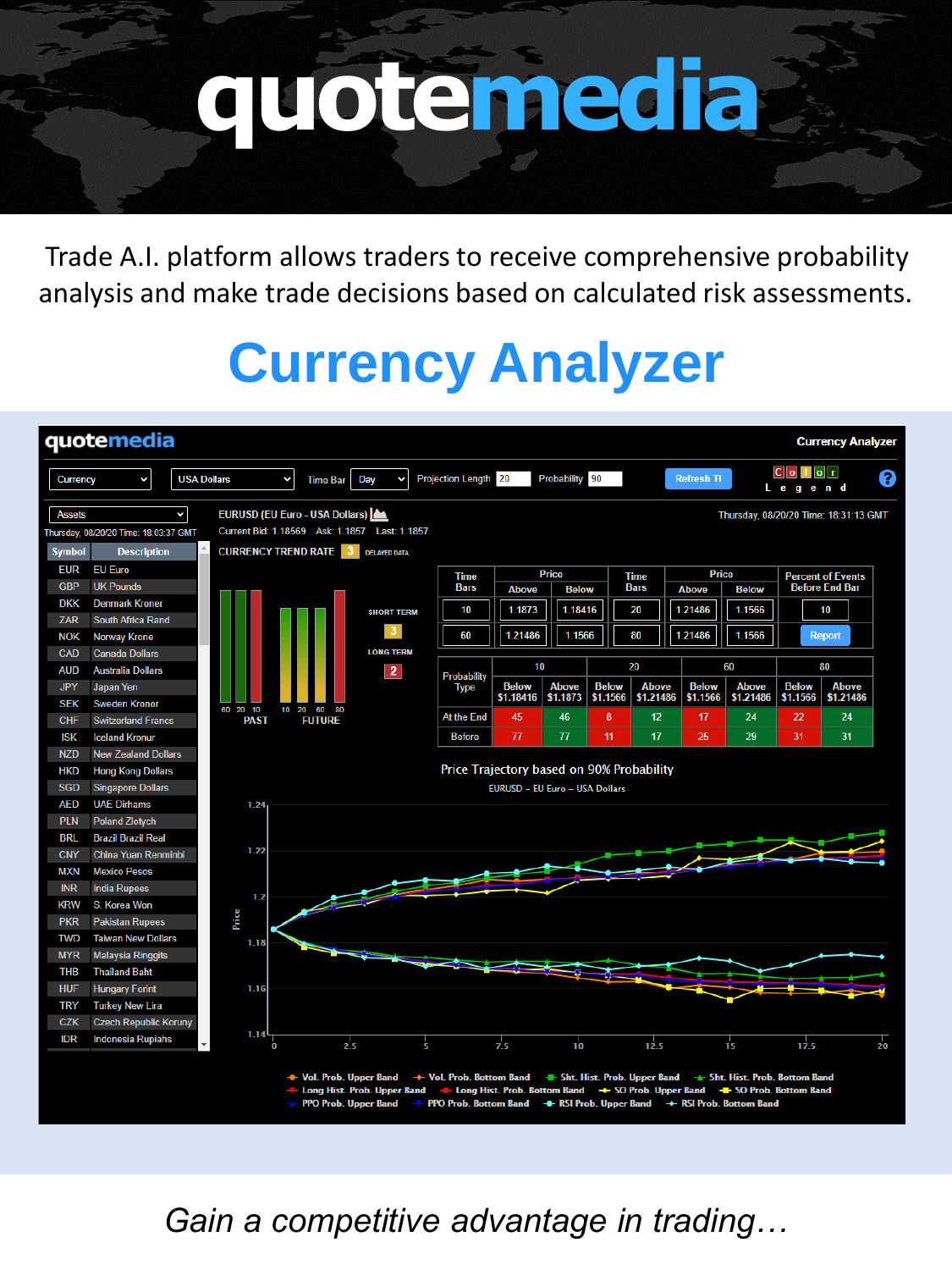# **quotemedia**

Trade A.I. platform allows traders to receive comprehensive probability analysis and make trade decisions based on calculated risk assessments.

# **Currency Analyzer**



*Gain a competitive advantage in trading…*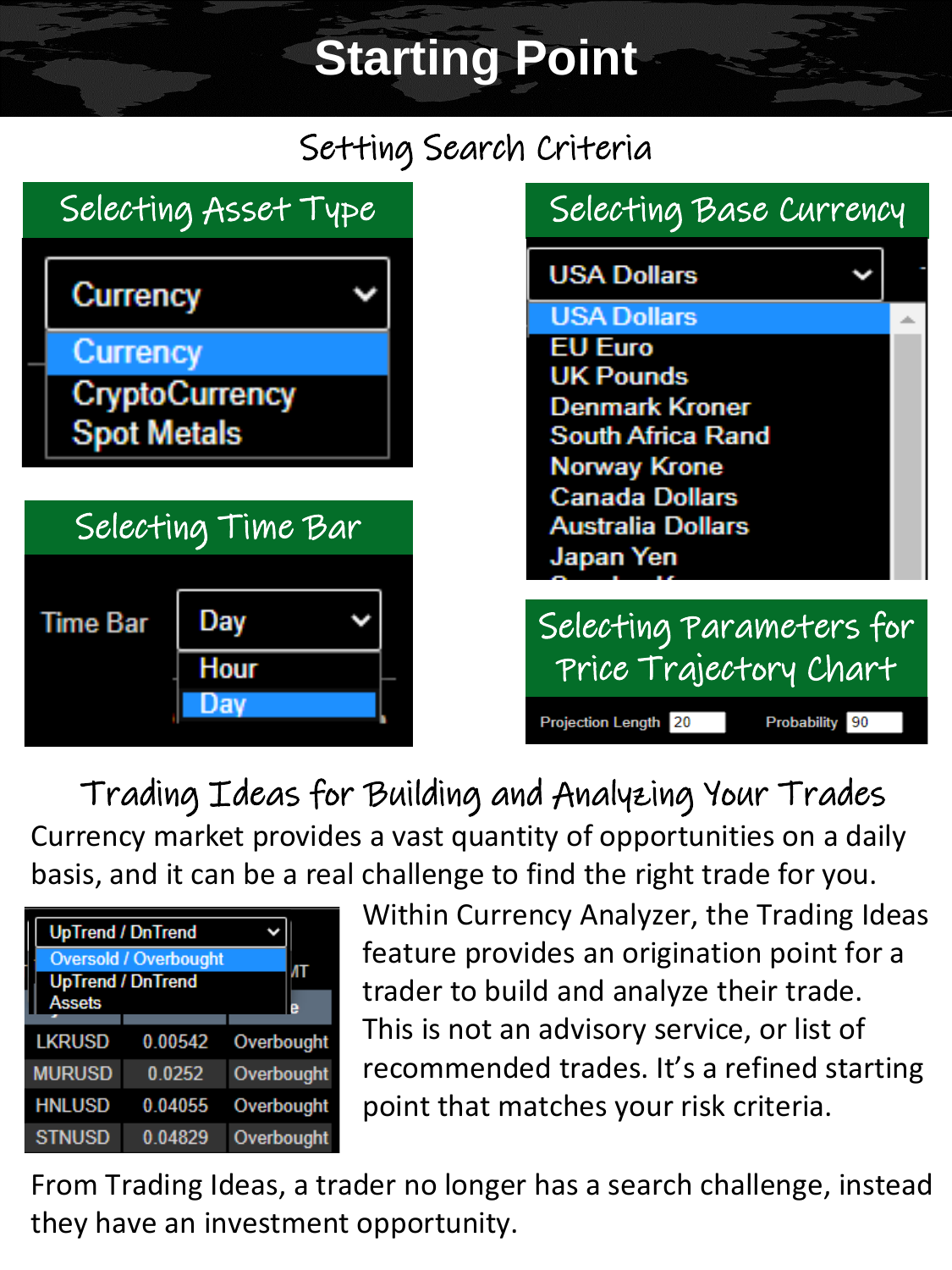# **Starting Point**

### Setting Search Criteria



Currency market provides a vast quantity of opportunities on a daily basis, and it can be a real challenge to find the right trade for you. Trading Ideas for Building and Analyzing Your Trades



Within Currency Analyzer, the Trading Ideas feature provides an origination point for a trader to build and analyze their trade. This is not an advisory service, or list of recommended trades. It's a refined starting point that matches your risk criteria.

From Trading Ideas, a trader no longer has a search challenge, instead they have an investment opportunity.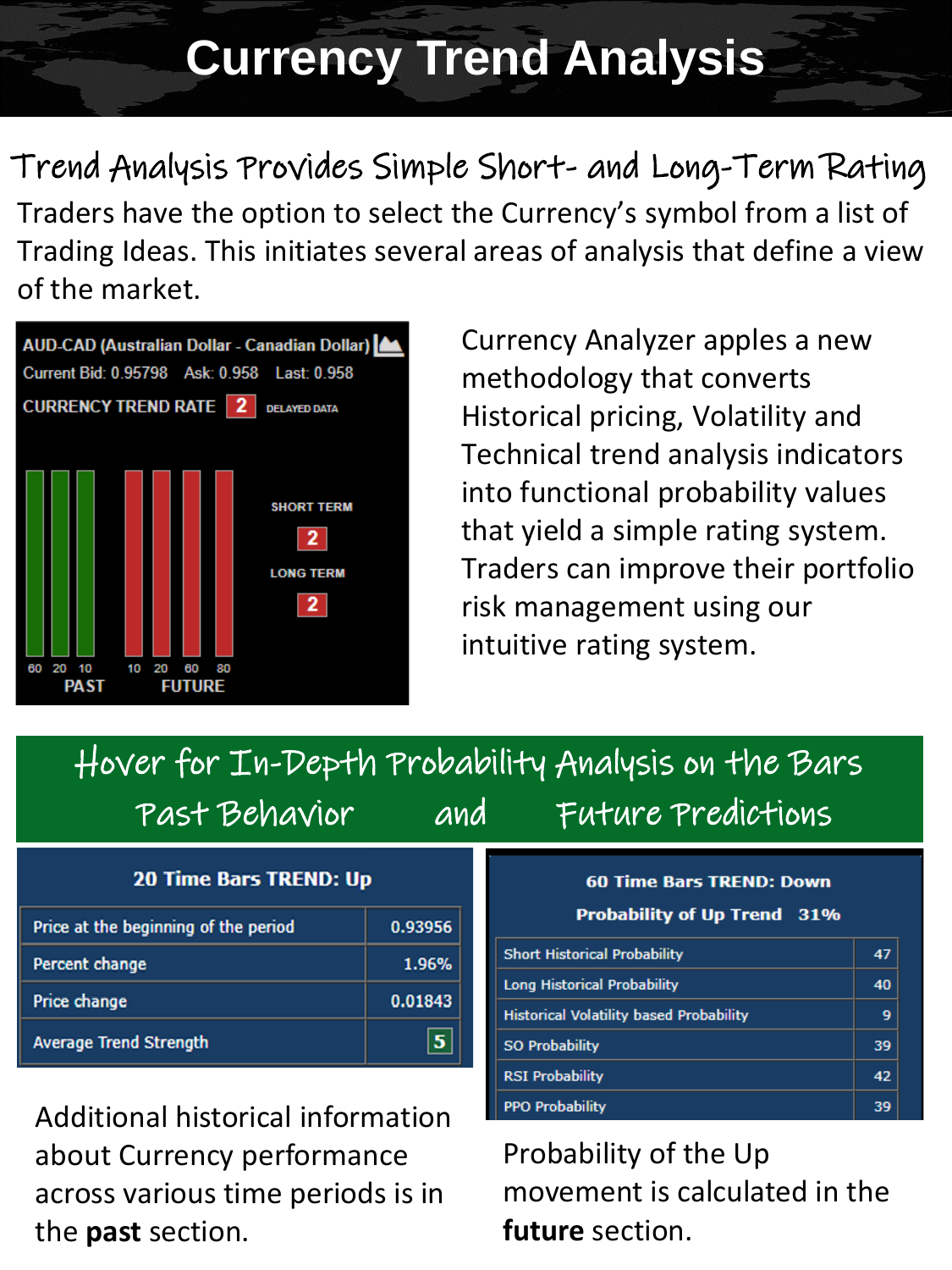## **Currency Trend Analysis**

Trend Analysis Provides Simple Short- and Long-Term Rating Traders have the option to select the Currency's symbol from a list of Trading Ideas. This initiates several areas of analysis that define a view of the market.



Currency Analyzer apples a new methodology that converts Historical pricing, Volatility and Technical trend analysis indicators into functional probability values that yield a simple rating system. Traders can improve their portfolio risk management using our intuitive rating system.

### Hover for In-Depth Probability Analysis on the Bars Past Behavior and Future Predictions

| <b>20 Time Bars TREND: Up</b>        |         |  |  |
|--------------------------------------|---------|--|--|
| Price at the beginning of the period | 0.93956 |  |  |
| Percent change                       | 1.96%   |  |  |
| Price change                         | 0.01843 |  |  |
| <b>Average Trend Strength</b>        |         |  |  |

Additional historical information about Currency performance across various time periods is in the **past** section.

### **60 Time Bars TREND: Down** Probability of Up Trend 31% **Short Historical Probability Long Historical Probability Historical Volatility based Probability**

47

40

| <b>SO Probability</b> |  |
|-----------------------|--|
| <b>SI Probability</b> |  |
| PO Probability        |  |

Probability of the Up movement is calculated in the **future** section.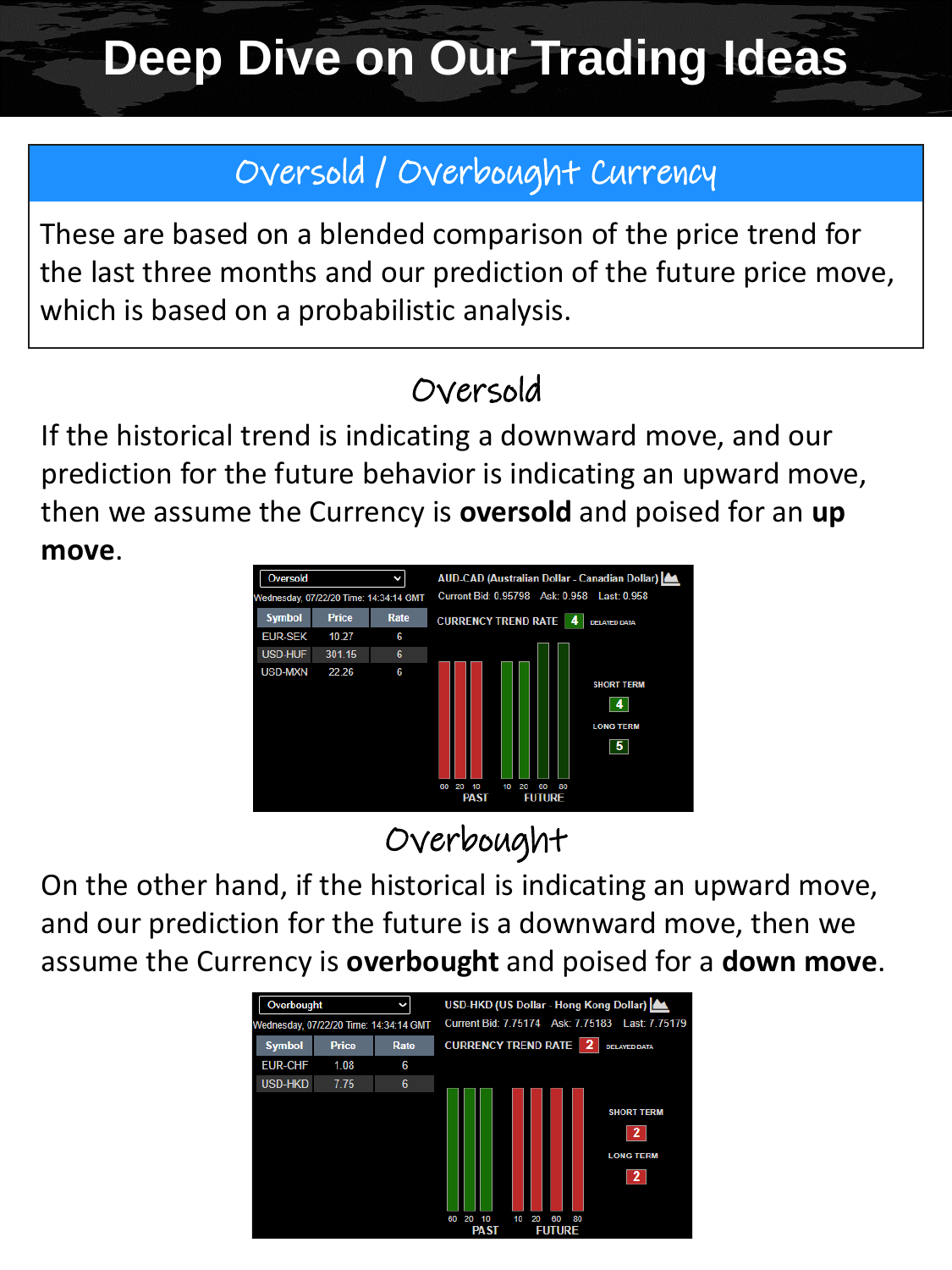# **Deep Dive on Our Trading Ideas**

### Oversold / Overbought Currency

These are based on a blended comparison of the price trend for the last three months and our prediction of the future price move, which is based on a probabilistic analysis.

### Oversold

If the historical trend is indicating a downward move, and our prediction for the future behavior is indicating an upward move, then we assume the Currency is **oversold** and poised for an **up move**.



### Overbought

On the other hand, if the historical is indicating an upward move, and our prediction for the future is a downward move, then we assume the Currency is **overbought** and poised for a **down move**.

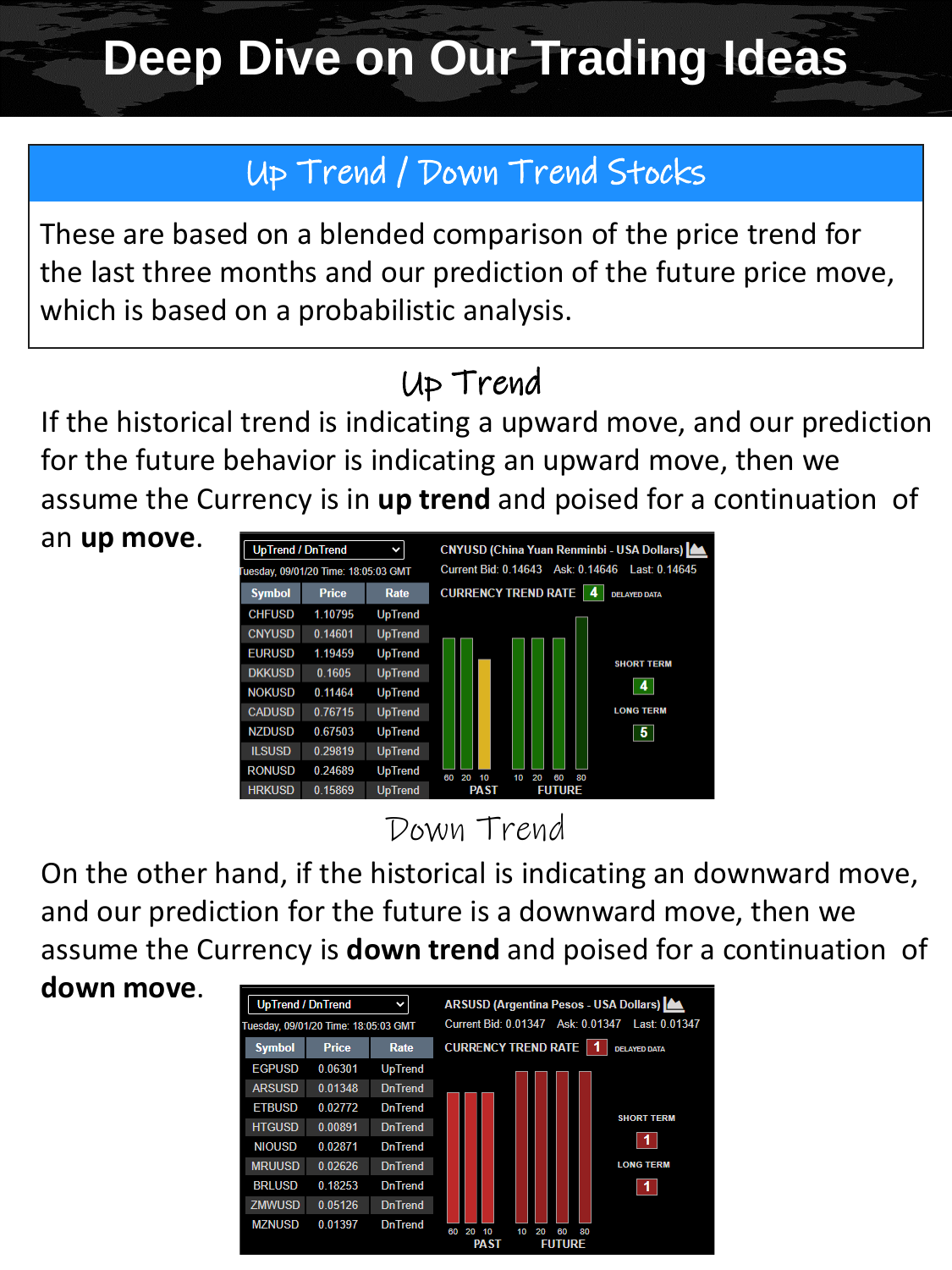# **Deep Dive on Our Trading Ideas**

### Up Trend / Down Trend Stocks

These are based on a blended comparison of the price trend for the last three months and our prediction of the future price move, which is based on a probabilistic analysis.

### Up Trend

If the historical trend is indicating a upward move, and our prediction for the future behavior is indicating an upward move, then we assume the Currency is in **up trend** and poised for a continuation of

an **up move**.



Down Trend

On the other hand, if the historical is indicating an downward move, and our prediction for the future is a downward move, then we assume the Currency is **down trend** and poised for a continuation of

**down move**.

| <b>UpTrend / DnTrend</b>             |              | v              | ARSUSD (Argentina Pesos - USA Dollars)   <a></a>                         |
|--------------------------------------|--------------|----------------|--------------------------------------------------------------------------|
| Tuesday, 09/01/20 Time: 18:05:03 GMT |              |                | Current Bid: 0.01347 Ask: 0.01347 Last: 0.01347                          |
| <b>Symbol</b>                        | <b>Price</b> | Rate           | <b>CURRENCY TREND RATE</b><br><b>DELAYED DATA</b>                        |
| <b>EGPUSD</b>                        | 0.06301      | <b>UpTrend</b> |                                                                          |
| <b>ARSUSD</b>                        | 0.01348      | <b>DnTrend</b> |                                                                          |
| <b>ETBUSD</b>                        | 0.02772      | <b>DnTrend</b> |                                                                          |
| <b>HTGUSD</b>                        | 0.00891      | <b>DnTrend</b> | <b>SHORT TERM</b>                                                        |
| <b>NIOUSD</b>                        | 0.02871      | <b>DnTrend</b> |                                                                          |
| <b>MRUUSD</b>                        | 0.02626      | <b>DnTrend</b> | <b>LONG TERM</b>                                                         |
| <b>BRLUSD</b>                        | 0.18253      | <b>DnTrend</b> |                                                                          |
| <b>ZMWUSD</b>                        | 0.05126      | <b>DnTrend</b> |                                                                          |
| <b>MZNUSD</b>                        | 0.01397      | <b>DnTrend</b> | 60<br>20<br>20<br>80<br>10<br>10<br>60<br><b>DA ST</b><br><b>FIITHDE</b> |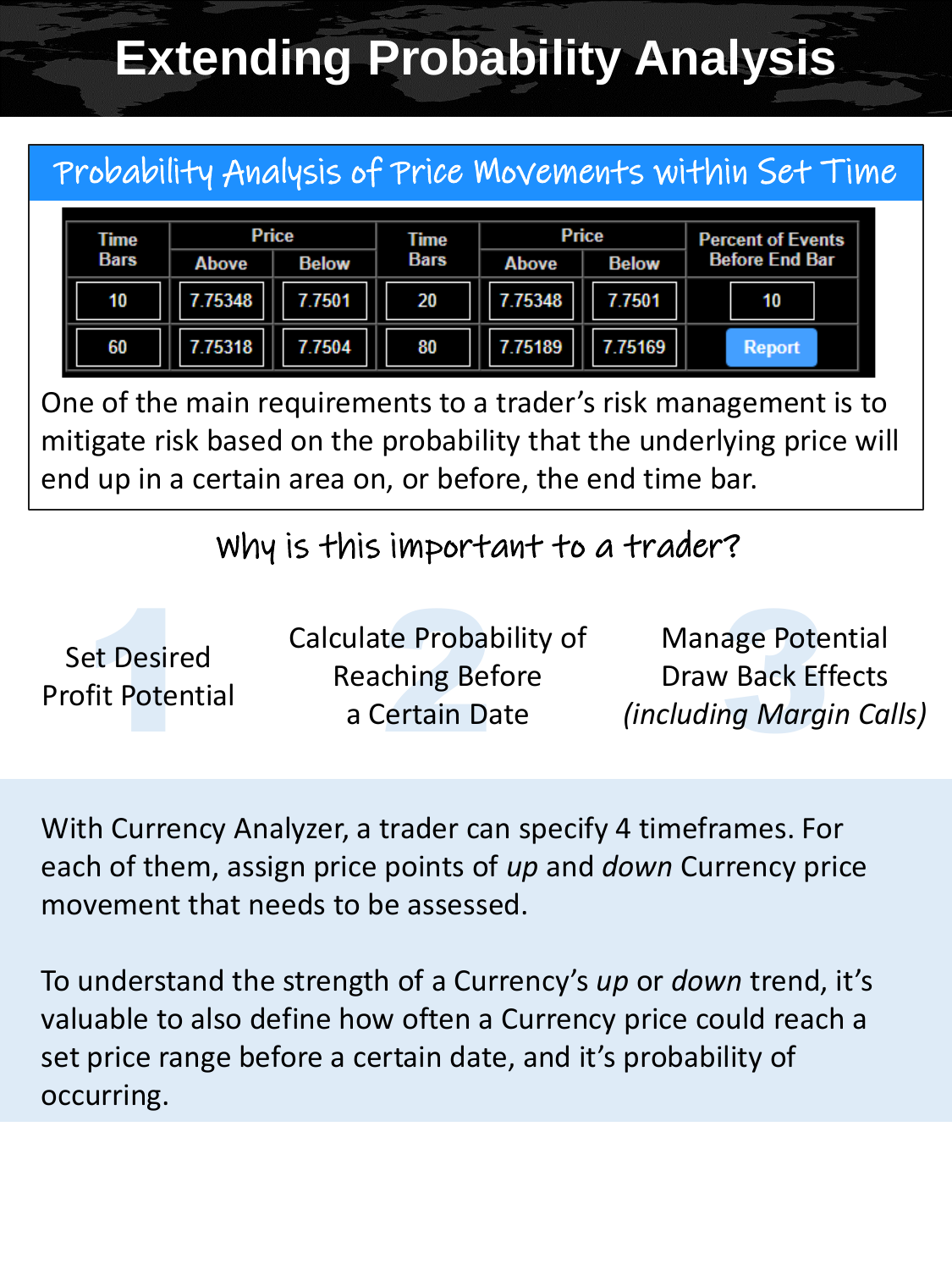# **Extending Probability Analysis**

### Probability Analysis of Price Movements within Set Time

| Time        |        | Price        | Time        | <b>Price</b> |              | <b>Percent of Events</b> |  |
|-------------|--------|--------------|-------------|--------------|--------------|--------------------------|--|
| <b>Bars</b> | Above  | <b>Below</b> | <b>Bars</b> | <b>Above</b> | <b>Below</b> | <b>Before End Bar</b>    |  |
| 10          | .75348 | 7.7501       | 20          | 7.75348      | 7.7501       | 10                       |  |
| 60          | .75318 | 7.7504       | 80          | 7.75189      | 7.75169      | <b>Report</b>            |  |

One of the main requirements to a trader's risk management is to mitigate risk based on the probability that the underlying price will end up in a certain area on, or before, the end time bar.

Why is this important to a trader?

| <b>Set Desired</b><br><b>Profit Potential</b> | <b>Calculate Probability of</b><br><b>Reaching Before</b><br>a Certain Date | <b>Manage Potential</b><br><b>Draw Back Effects</b><br><i>(including Margin Calls)</i> |
|-----------------------------------------------|-----------------------------------------------------------------------------|----------------------------------------------------------------------------------------|
|-----------------------------------------------|-----------------------------------------------------------------------------|----------------------------------------------------------------------------------------|

With Currency Analyzer, a trader can specify 4 timeframes. For each of them, assign price points of *up* and *down* Currency price movement that needs to be assessed.

To understand the strength of a Currency's *up* or *down* trend, it's valuable to also define how often a Currency price could reach a set price range before a certain date, and it's probability of occurring.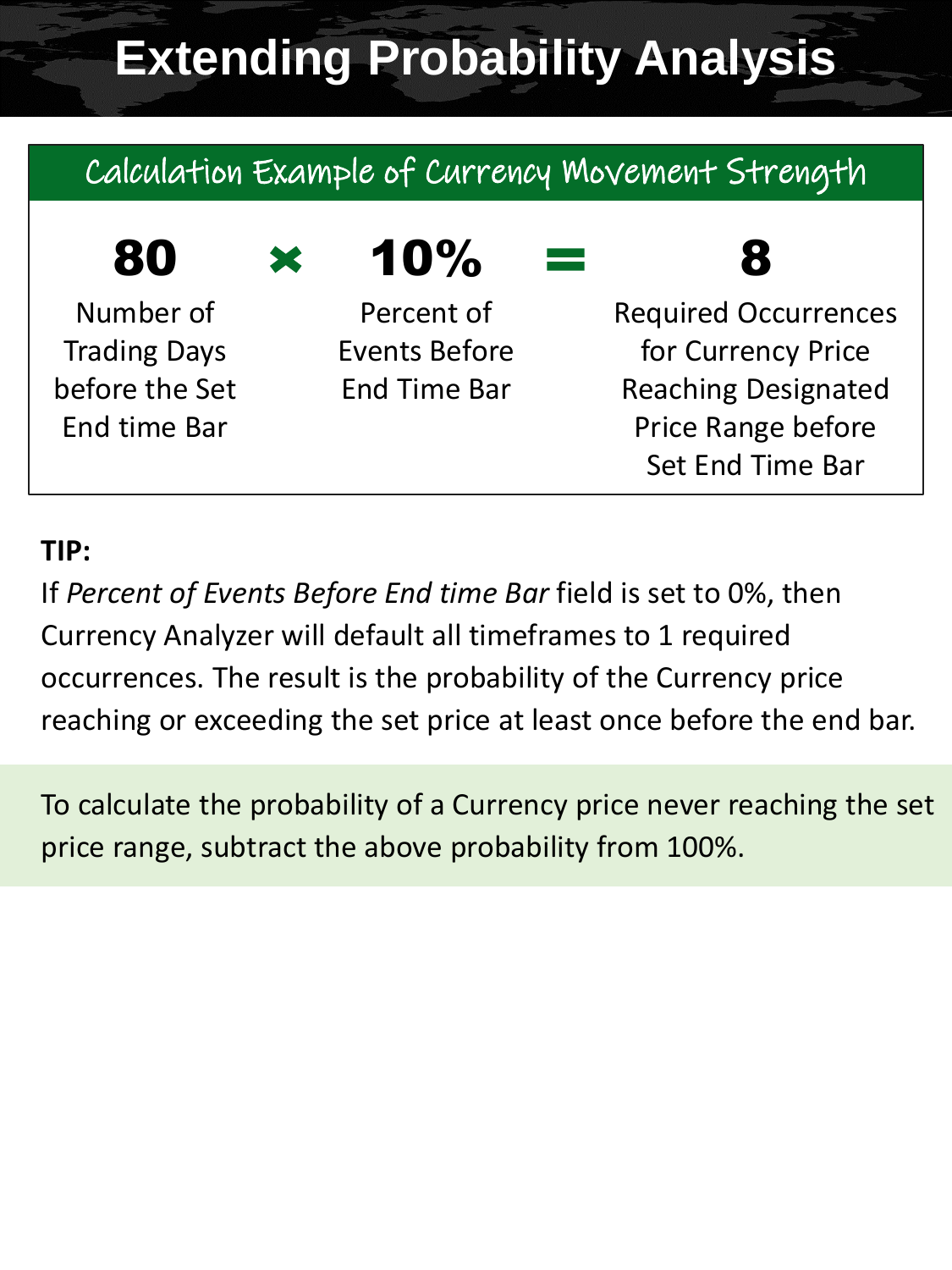# **Extending Probability Analysis**

### Calculation Example of Currency Movement Strength

### $80 \times 10\%$

Number of Trading Days before the Set End time Bar

Percent of Events Before End Time Bar

### 8

Required Occurrences for Currency Price Reaching Designated Price Range before Set End Time Bar

### **TIP:**

If *Percent of Events Before End time Bar* field is set to 0%, then Currency Analyzer will default all timeframes to 1 required occurrences. The result is the probability of the Currency price reaching or exceeding the set price at least once before the end bar.

To calculate the probability of a Currency price never reaching the set price range, subtract the above probability from 100%.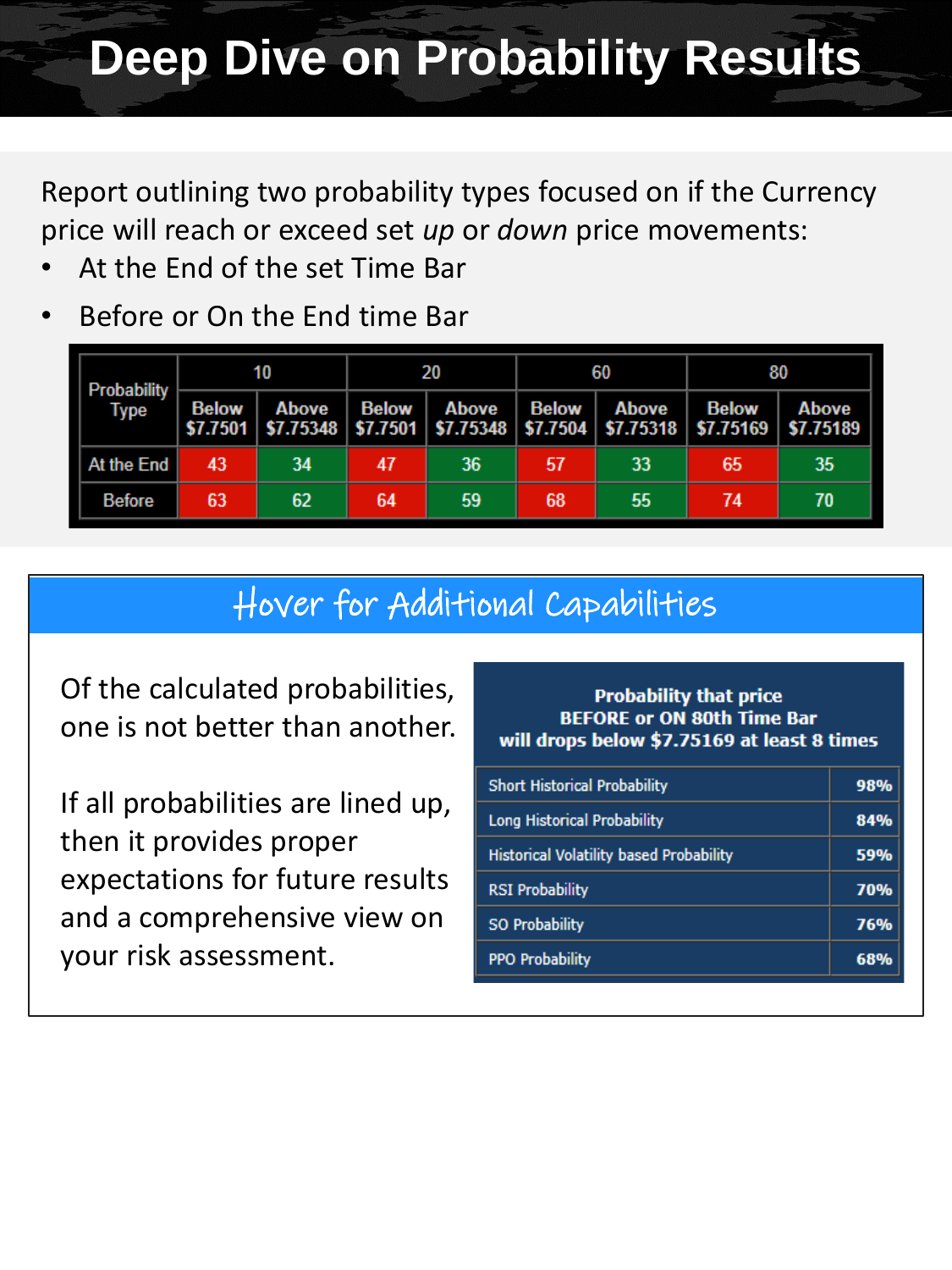# **Deep Dive on Probability Results**

Report outlining two probability types focused on if the Currency price will reach or exceed set *up* or *down* price movements:

- At the End of the set Time Bar
- Before or On the End time Bar

| <b>Probability</b><br>Type |       | 10    |              | 20    |              | 60                                                                                                  |              | 80    |  |
|----------------------------|-------|-------|--------------|-------|--------------|-----------------------------------------------------------------------------------------------------|--------------|-------|--|
|                            | Below | Above | <b>Below</b> | Above | <b>Below</b> | Above<br>\$7.7501   \$7.75348   \$7.7501   \$7.75348   \$7.7504   \$7.75318   \$7.75169   \$7.75189 | <b>Below</b> | Above |  |
| At the End                 | 43    | 34    | 47           | 36    | 57           | 33                                                                                                  | 65           | 35    |  |
| <b>Before</b>              | 63    | 62    | 64           | 59    | 68           | 55                                                                                                  | 74           | 70    |  |

### Hover for Additional Capabilities

Of the calculated probabilities, one is not better than another.

If all probabilities are lined up, then it provides proper expectations for future results and a comprehensive view on your risk assessment.

### **Probability that price BEFORE or ON 80th Time Bar** will drops below \$7.75169 at least 8 times

| 84% |
|-----|
| 59% |
| 70% |
| 76% |
| 68% |
|     |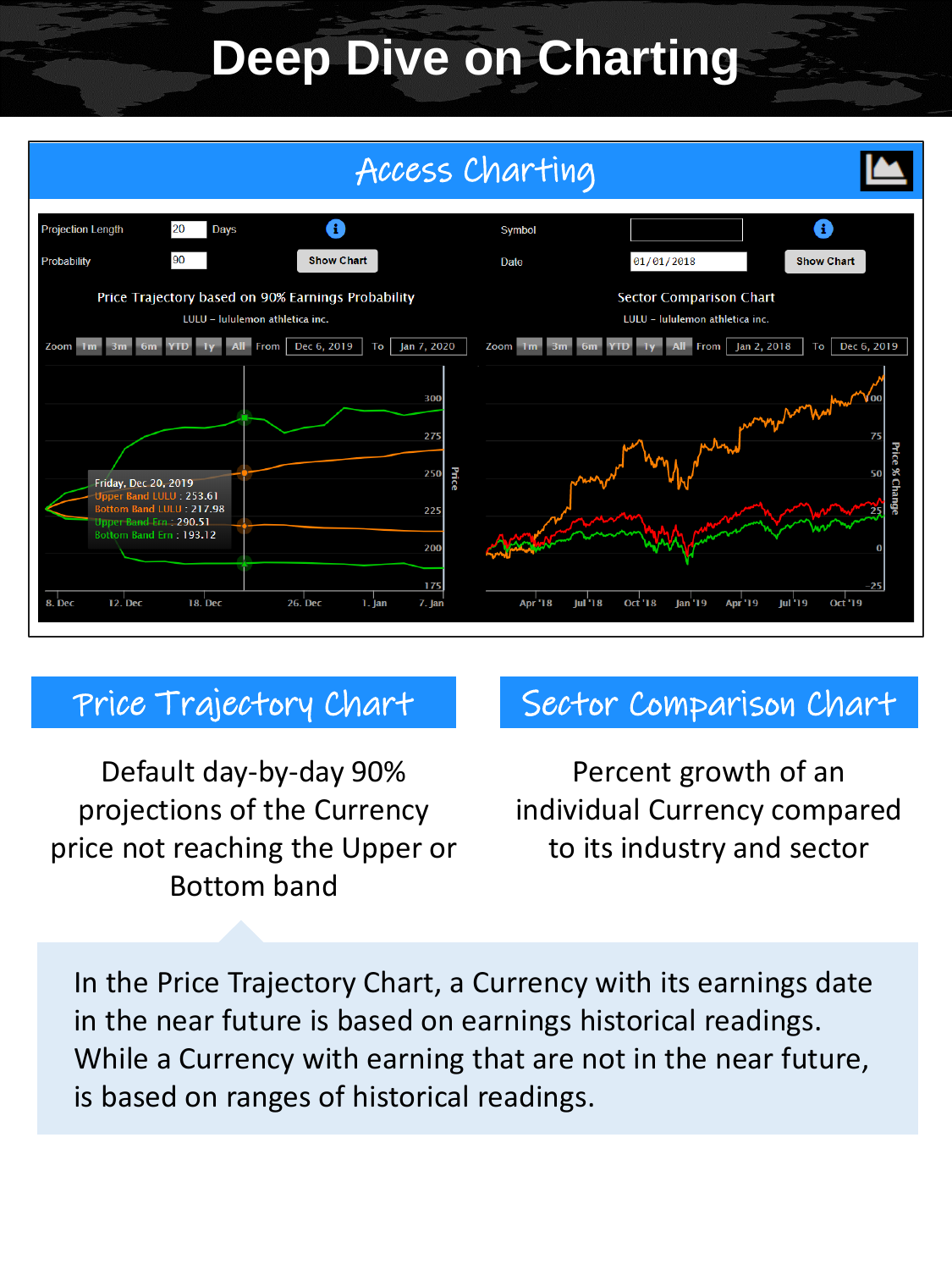# **Deep Dive on Charting**



### Price Trajectory Chart

Default day-by-day 90% projections of the Currency price not reaching the Upper or Bottom band

### Sector Comparison Chart

Percent growth of an individual Currency compared to its industry and sector

In the Price Trajectory Chart, a Currency with its earnings date in the near future is based on earnings historical readings. While a Currency with earning that are not in the near future, is based on ranges of historical readings.